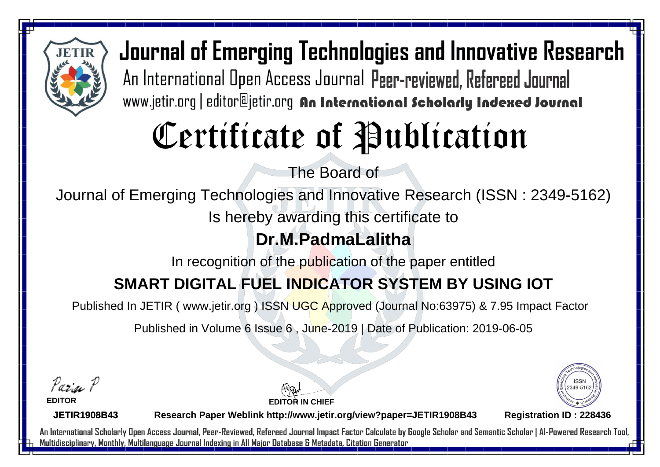

Journal of Emerging Technologies and Innovative Research An International Open Access Journal Peer-reviewed, Refereed Journal www.jetir.org | editor@jetir.org An International Scholarly Indexed Journal

# Certificate of Publication

The Board of

Journal of Emerging Technologies and Innovative Research (ISSN : 2349-5162)

Is hereby awarding this certificate to

#### **Dr.M.PadmaLalitha**

In recognition of the publication of the paper entitled

### **SMART DIGITAL FUEL INDICATOR SYSTEM BY USING IOT**

Published In JETIR ( www.jetir.org ) ISSN UGC Approved (Journal No: 63975) & 7.95 Impact Factor

Published in Volume 6 Issue 6 , June-2019 | Date of Publication: 2019-06-05

Parin P

**EDITOR**

**EDITOR IN CHIEF**



**JETIR1908B43**

**Research Paper Weblink http://www.jetir.org/view?paper=JETIR1908B43 Registration ID : 228436**

An International Scholarly Open Access Journal, Peer-Reviewed, Refereed Journal Impact Factor Calculate by Google Scholar and Semantic Scholar | Al-Powered Research Tool, Multidisciplinary, Monthly, Multilanguage Journal Indexing in All Major Database & Metadata, Citation Generator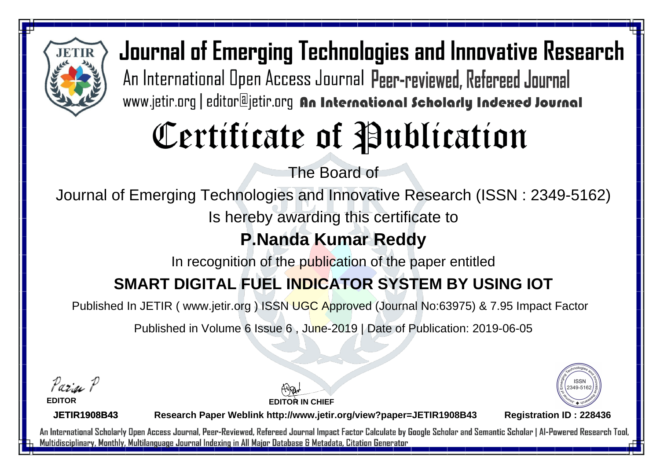

Journal of Emerging Technologies and Innovative Research An International Open Access Journal Peer-reviewed, Refereed Journal www.jetir.org | editor@jetir.org An International Scholarly Indexed Journal

# Certificate of Publication

The Board of

Journal of Emerging Technologies and Innovative Research (ISSN : 2349-5162)

Is hereby awarding this certificate to

### **P.Nanda Kumar Reddy**

In recognition of the publication of the paper entitled

### **SMART DIGITAL FUEL INDICATOR SYSTEM BY USING IOT**

Published In JETIR ( www.jetir.org ) ISSN UGC Approved (Journal No: 63975) & 7.95 Impact Factor

Published in Volume 6 Issue 6 , June-2019 | Date of Publication: 2019-06-05

Pazin P

**EDITOR**

**EDITOR IN CHIEF**



**JETIR1908B43**

**Research Paper Weblink http://www.jetir.org/view?paper=JETIR1908B43 Registration ID : 228436**

An International Scholarly Open Access Journal, Peer-Reviewed, Refereed Journal Impact Factor Calculate by Google Scholar and Semantic Scholar | Al-Powered Research Tool, Multidisciplinary, Monthly, Multilanguage Journal Indexing in All Major Database & Metadata, Citation Generator